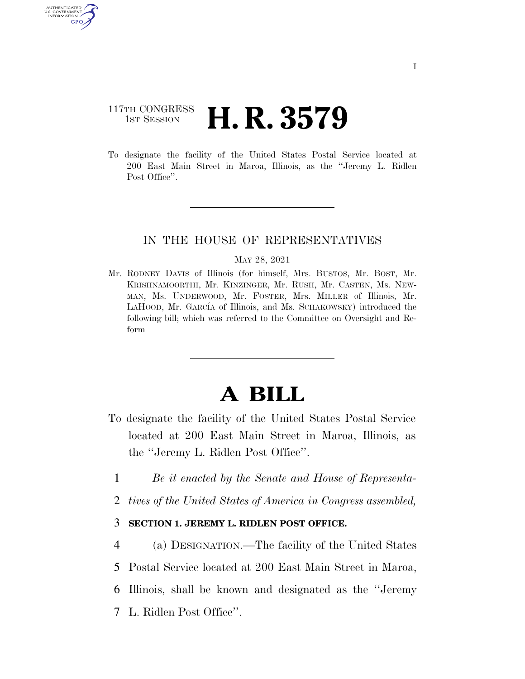# 117TH CONGRESS **1st Session H. R. 3579**

**AUTHENTICATE** U.S. GOVERNMENT GPO

> To designate the facility of the United States Postal Service located at 200 East Main Street in Maroa, Illinois, as the ''Jeremy L. Ridlen Post Office".

### IN THE HOUSE OF REPRESENTATIVES

#### MAY 28, 2021

Mr. RODNEY DAVIS of Illinois (for himself, Mrs. BUSTOS, Mr. BOST, Mr. KRISHNAMOORTHI, Mr. KINZINGER, Mr. RUSH, Mr. CASTEN, Ms. NEW-MAN, Ms. UNDERWOOD, Mr. FOSTER, Mrs. MILLER of Illinois, Mr. LAHOOD, Mr. GARCÍA of Illinois, and Ms. SCHAKOWSKY) introduced the following bill; which was referred to the Committee on Oversight and Reform

# **A BILL**

- To designate the facility of the United States Postal Service located at 200 East Main Street in Maroa, Illinois, as the ''Jeremy L. Ridlen Post Office''.
	- 1 *Be it enacted by the Senate and House of Representa-*
	- 2 *tives of the United States of America in Congress assembled,*

## 3 **SECTION 1. JEREMY L. RIDLEN POST OFFICE.**

 (a) DESIGNATION.—The facility of the United States Postal Service located at 200 East Main Street in Maroa, Illinois, shall be known and designated as the ''Jeremy L. Ridlen Post Office''.